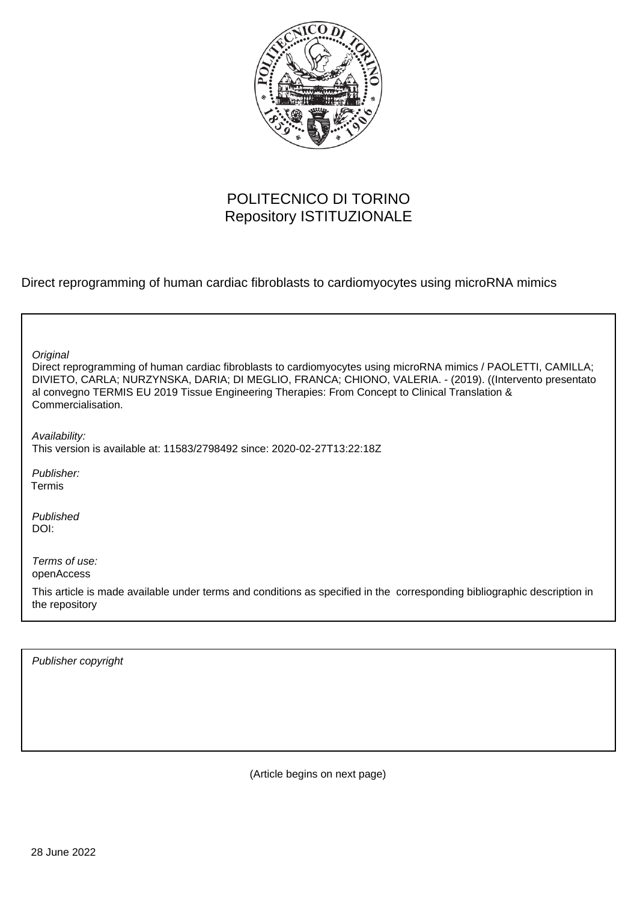

# POLITECNICO DI TORINO Repository ISTITUZIONALE

Direct reprogramming of human cardiac fibroblasts to cardiomyocytes using microRNA mimics

| Original<br>Direct reprogramming of human cardiac fibroblasts to cardiomyocytes using microRNA mimics / PAOLETTI, CAMILLA;<br>DIVIETO, CARLA; NURZYNSKA, DARIA; DI MEGLIO, FRANCA; CHIONO, VALERIA. - (2019). ((Intervento presentato<br>al convegno TERMIS EU 2019 Tissue Engineering Therapies: From Concept to Clinical Translation &<br>Commercialisation. |
|----------------------------------------------------------------------------------------------------------------------------------------------------------------------------------------------------------------------------------------------------------------------------------------------------------------------------------------------------------------|
| Availability:<br>This version is available at: 11583/2798492 since: 2020-02-27T13:22:18Z                                                                                                                                                                                                                                                                       |
| Publisher:<br>Termis                                                                                                                                                                                                                                                                                                                                           |
| Published<br>DOI:                                                                                                                                                                                                                                                                                                                                              |
| Terms of use:<br>openAccess                                                                                                                                                                                                                                                                                                                                    |
| This article is made available under terms and conditions as specified in the corresponding bibliographic description in<br>the repository                                                                                                                                                                                                                     |

Publisher copyright

(Article begins on next page)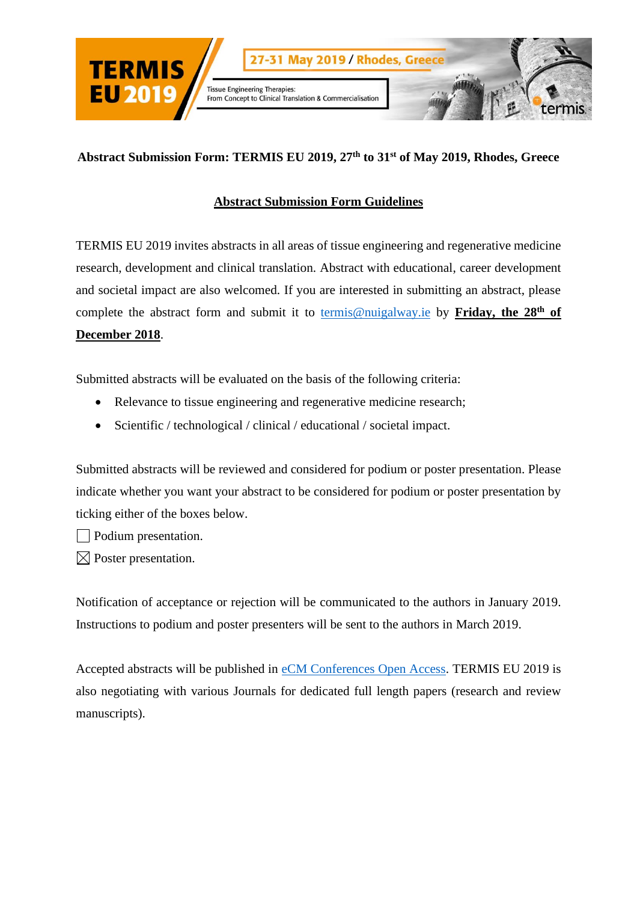

### **Abstract Submission Form Guidelines**

TERMIS EU 2019 invites abstracts in all areas of tissue engineering and regenerative medicine research, development and clinical translation. Abstract with educational, career development and societal impact are also welcomed. If you are interested in submitting an abstract, please complete the abstract form and submit it to [termis@nuigalway.ie](mailto:termis@nuigalway.ie) by Friday, the 28<sup>th</sup> of **December 2018**.

Submitted abstracts will be evaluated on the basis of the following criteria:

- Relevance to tissue engineering and regenerative medicine research;
- Scientific / technological / clinical / educational / societal impact.

Submitted abstracts will be reviewed and considered for podium or poster presentation. Please indicate whether you want your abstract to be considered for podium or poster presentation by ticking either of the boxes below.

Podium presentation.

 $\boxtimes$  Poster presentation.

Notification of acceptance or rejection will be communicated to the authors in January 2019. Instructions to podium and poster presenters will be sent to the authors in March 2019.

Accepted abstracts will be published in [eCM Conferences Open Access.](http://www.ecmconferences.org/) TERMIS EU 2019 is also negotiating with various Journals for dedicated full length papers (research and review manuscripts).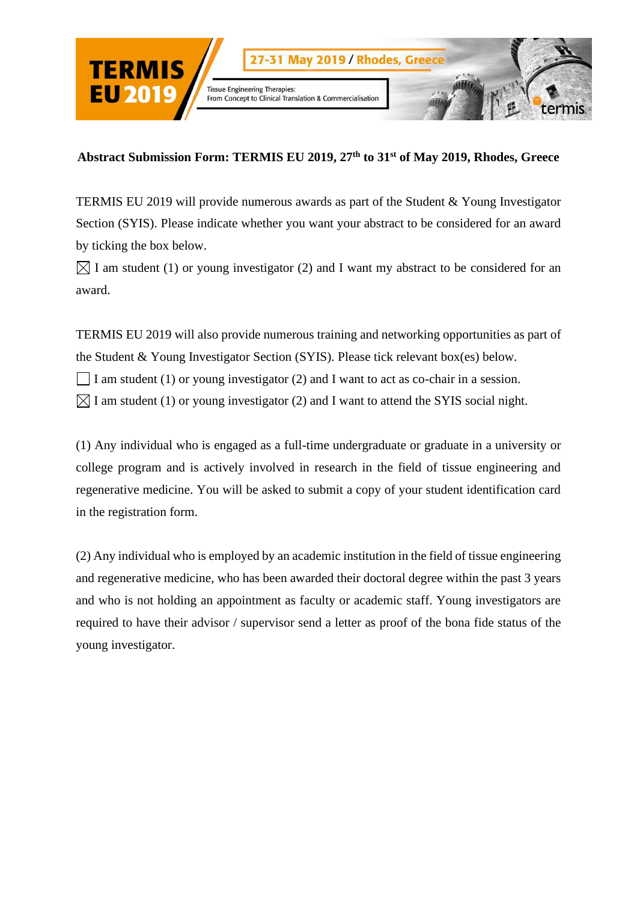

TERMIS EU 2019 will provide numerous awards as part of the Student & Young Investigator Section (SYIS). Please indicate whether you want your abstract to be considered for an award by ticking the box below.

 $\boxtimes$  I am student (1) or young investigator (2) and I want my abstract to be considered for an award.

TERMIS EU 2019 will also provide numerous training and networking opportunities as part of the Student & Young Investigator Section (SYIS). Please tick relevant box(es) below.

I am student (1) or young investigator (2) and I want to act as co-chair in a session.

 $\boxtimes$  I am student (1) or young investigator (2) and I want to attend the SYIS social night.

(1) Any individual who is engaged as a full-time undergraduate or graduate in a university or college program and is actively involved in research in the field of tissue engineering and regenerative medicine. You will be asked to submit a copy of your student identification card in the registration form.

(2) Any individual who is employed by an academic institution in the field of tissue engineering and regenerative medicine, who has been awarded their doctoral degree within the past 3 years and who is not holding an appointment as faculty or academic staff. Young investigators are required to have their advisor / supervisor send a letter as proof of the bona fide status of the young investigator.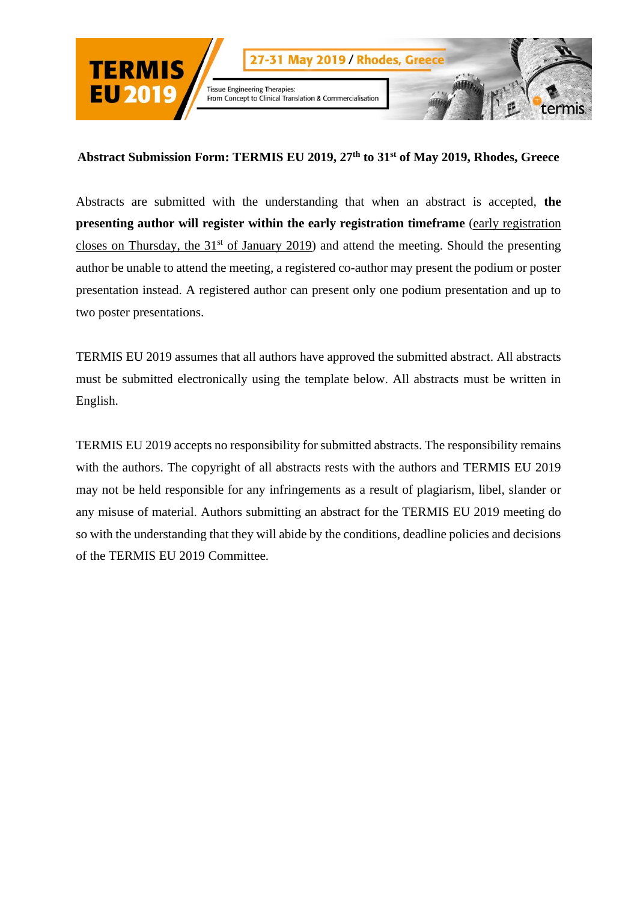

Abstracts are submitted with the understanding that when an abstract is accepted, **the presenting author will register within the early registration timeframe** (early registration closes on Thursday, the  $31<sup>st</sup>$  of January 2019) and attend the meeting. Should the presenting author be unable to attend the meeting, a registered co-author may present the podium or poster presentation instead. A registered author can present only one podium presentation and up to two poster presentations.

TERMIS EU 2019 assumes that all authors have approved the submitted abstract. All abstracts must be submitted electronically using the template below. All abstracts must be written in English.

TERMIS EU 2019 accepts no responsibility for submitted abstracts. The responsibility remains with the authors. The copyright of all abstracts rests with the authors and TERMIS EU 2019 may not be held responsible for any infringements as a result of plagiarism, libel, slander or any misuse of material. Authors submitting an abstract for the TERMIS EU 2019 meeting do so with the understanding that they will abide by the conditions, deadline policies and decisions of the TERMIS EU 2019 Committee.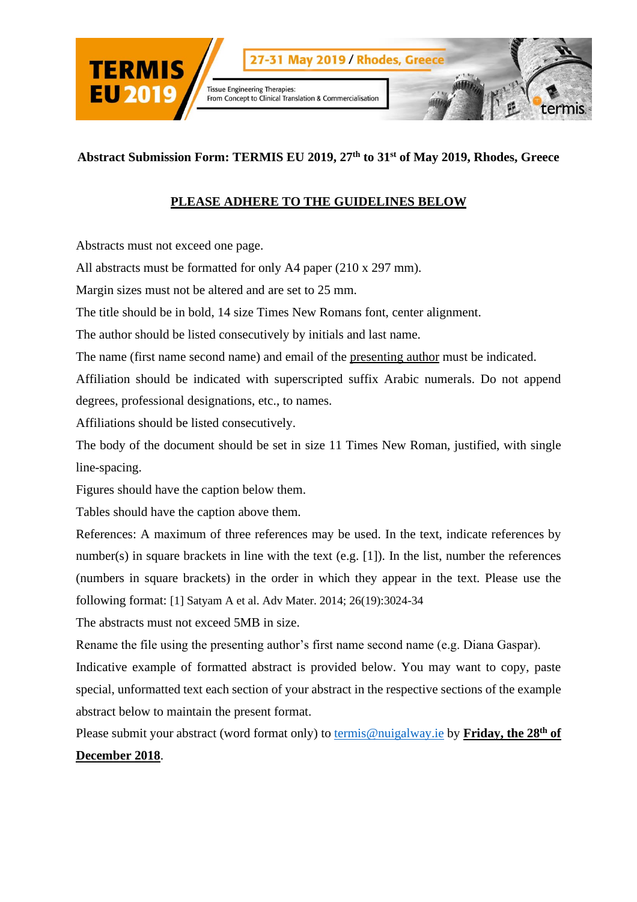

## **PLEASE ADHERE TO THE GUIDELINES BELOW**

Abstracts must not exceed one page.

All abstracts must be formatted for only A4 paper (210 x 297 mm).

Margin sizes must not be altered and are set to 25 mm.

The title should be in bold, 14 size Times New Romans font, center alignment.

The author should be listed consecutively by initials and last name.

The name (first name second name) and email of the presenting author must be indicated.

Affiliation should be indicated with superscripted suffix Arabic numerals. Do not append degrees, professional designations, etc., to names.

Affiliations should be listed consecutively.

The body of the document should be set in size 11 Times New Roman, justified, with single line-spacing.

Figures should have the caption below them.

Tables should have the caption above them.

References: A maximum of three references may be used. In the text, indicate references by number(s) in square brackets in line with the text (e.g. [1]). In the list, number the references (numbers in square brackets) in the order in which they appear in the text. Please use the following format: [1] Satyam A et al. Adv Mater. 2014; 26(19):3024-34

The abstracts must not exceed 5MB in size.

Rename the file using the presenting author's first name second name (e.g. Diana Gaspar).

Indicative example of formatted abstract is provided below. You may want to copy, paste special, unformatted text each section of your abstract in the respective sections of the example abstract below to maintain the present format.

Please submit your abstract (word format only) to [termis@nuigalway.ie](mailto:termis@nuigalway.ie) by **Friday, the 28th of December 2018**.